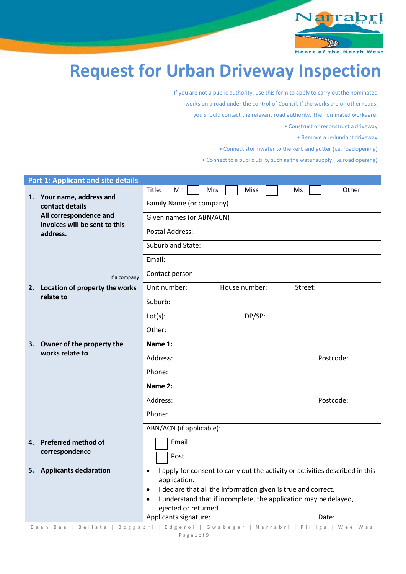

**Heart of the North West** 

# **Request for Urban Driveway Inspection**

If you are not a public authority, use this form to apply to carry outthe nominated works on a road under the control of Council. If the works are onother roads, you should contact the relevant road authority. The nominated works are: • Construct or reconstruct a driveway

• Remove a redundant driveway

• Connect stormwater to the kerb and gutter (i.e. roadopening)

• Connect to a public utility such as the water supply (i.e.road opening)

|    | <b>Part 1: Applicant and site details</b>                                                                                                                                |                                                                                                                                                                                                                                                                                                                                                                                                     |  |  |
|----|--------------------------------------------------------------------------------------------------------------------------------------------------------------------------|-----------------------------------------------------------------------------------------------------------------------------------------------------------------------------------------------------------------------------------------------------------------------------------------------------------------------------------------------------------------------------------------------------|--|--|
|    | 1. Your name, address and<br>contact details<br>All correspondence and<br>invoices will be sent to this<br>address.<br>If a company<br>2. Location of property the works | Title:<br>Other<br>Mr<br>Mrs<br>Miss<br>Ms<br>Family Name (or company)<br>Given names (or ABN/ACN)<br>Postal Address:<br>Suburb and State:<br>Email:<br>Contact person:<br>Unit number:<br>House number:<br>Street:                                                                                                                                                                                 |  |  |
|    | relate to                                                                                                                                                                | Suburb:<br>DP/SP:<br>Lot(s):<br>Other:                                                                                                                                                                                                                                                                                                                                                              |  |  |
| 3. | Owner of the property the<br>works relate to                                                                                                                             | Name 1:<br>Address:<br>Postcode:<br>Phone:<br>Name 2:<br>Address:<br>Postcode:<br>Phone:<br>ABN/ACN (if applicable):                                                                                                                                                                                                                                                                                |  |  |
|    | 4. Preferred method of<br>correspondence                                                                                                                                 | Email<br>Post                                                                                                                                                                                                                                                                                                                                                                                       |  |  |
| 5. | <b>Applicants declaration</b><br>Baan Baa<br>Bellata                                                                                                                     | I apply for consent to carry out the activity or activities described in this<br>$\bullet$<br>application.<br>I declare that all the information given is true and correct.<br>$\bullet$<br>I understand that if incomplete, the application may be delayed,<br>$\bullet$<br>ejected or returned.<br>Applicants signature:<br>Date:<br>Boggabri   Edgeroi   Gwabegar   Narrabri   Pilliga   Wee Waa |  |  |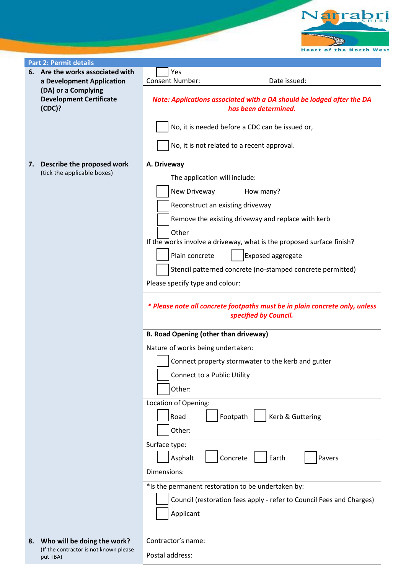**Heart of the North West** 

Narrabri

|    | <b>Part 2: Permit details</b>                             |                                                                                                      |  |  |  |  |  |  |
|----|-----------------------------------------------------------|------------------------------------------------------------------------------------------------------|--|--|--|--|--|--|
|    | 6. Are the works associated with                          |                                                                                                      |  |  |  |  |  |  |
|    | a Development Application                                 | Yes<br><b>Consent Number:</b><br>Date issued:                                                        |  |  |  |  |  |  |
|    |                                                           |                                                                                                      |  |  |  |  |  |  |
|    | (DA) or a Complying<br><b>Development Certificate</b>     |                                                                                                      |  |  |  |  |  |  |
|    |                                                           | Note: Applications associated with a DA should be lodged after the DA<br>has been determined.        |  |  |  |  |  |  |
|    | (CDC)?                                                    |                                                                                                      |  |  |  |  |  |  |
|    |                                                           | No, it is needed before a CDC can be issued or,                                                      |  |  |  |  |  |  |
|    |                                                           |                                                                                                      |  |  |  |  |  |  |
|    |                                                           | No, it is not related to a recent approval.                                                          |  |  |  |  |  |  |
| 7. | Describe the proposed work<br>(tick the applicable boxes) | A. Driveway                                                                                          |  |  |  |  |  |  |
|    |                                                           | The application will include:                                                                        |  |  |  |  |  |  |
|    |                                                           | New Driveway<br>How many?                                                                            |  |  |  |  |  |  |
|    |                                                           | Reconstruct an existing driveway                                                                     |  |  |  |  |  |  |
|    |                                                           | Remove the existing driveway and replace with kerb                                                   |  |  |  |  |  |  |
|    |                                                           | Other                                                                                                |  |  |  |  |  |  |
|    |                                                           | If the works involve a driveway, what is the proposed surface finish?                                |  |  |  |  |  |  |
|    |                                                           | Exposed aggregate<br>Plain concrete                                                                  |  |  |  |  |  |  |
|    |                                                           | Stencil patterned concrete (no-stamped concrete permitted)                                           |  |  |  |  |  |  |
|    |                                                           |                                                                                                      |  |  |  |  |  |  |
|    |                                                           | Please specify type and colour:                                                                      |  |  |  |  |  |  |
|    |                                                           | * Please note all concrete footpaths must be in plain concrete only, unless<br>specified by Council. |  |  |  |  |  |  |
|    |                                                           | <b>B. Road Opening (other than driveway)</b>                                                         |  |  |  |  |  |  |
|    |                                                           | Nature of works being undertaken:                                                                    |  |  |  |  |  |  |
|    |                                                           | Connect property stormwater to the kerb and gutter                                                   |  |  |  |  |  |  |
|    |                                                           | Connect to a Public Utility                                                                          |  |  |  |  |  |  |
|    |                                                           | Other:                                                                                               |  |  |  |  |  |  |
|    |                                                           |                                                                                                      |  |  |  |  |  |  |
|    |                                                           | Location of Opening:                                                                                 |  |  |  |  |  |  |
|    |                                                           | Kerb & Guttering<br>Footpath<br>Road                                                                 |  |  |  |  |  |  |
|    |                                                           | Other:                                                                                               |  |  |  |  |  |  |
|    |                                                           | Surface type:                                                                                        |  |  |  |  |  |  |
|    |                                                           | Concrete<br>Asphalt<br>Pavers<br>Earth                                                               |  |  |  |  |  |  |
|    |                                                           | Dimensions:                                                                                          |  |  |  |  |  |  |
|    |                                                           | *Is the permanent restoration to be undertaken by:                                                   |  |  |  |  |  |  |
|    |                                                           |                                                                                                      |  |  |  |  |  |  |
|    |                                                           | Council (restoration fees apply - refer to Council Fees and Charges)                                 |  |  |  |  |  |  |
|    |                                                           | Applicant                                                                                            |  |  |  |  |  |  |
|    |                                                           |                                                                                                      |  |  |  |  |  |  |
|    | 8. Who will be doing the work?                            | Contractor's name:                                                                                   |  |  |  |  |  |  |
|    | (If the contractor is not known please                    |                                                                                                      |  |  |  |  |  |  |

Postal address:

put TBA)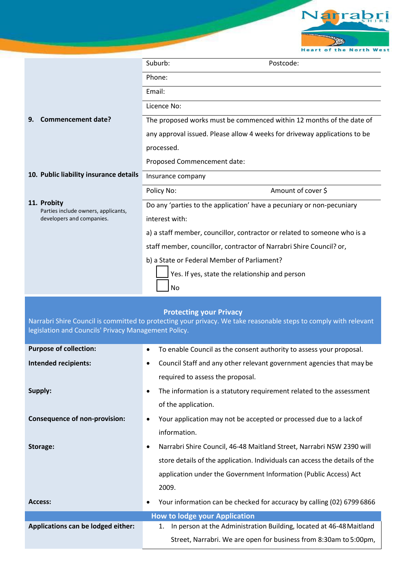

|                                                                  | Suburb:<br>Postcode:                                                                                                                            |
|------------------------------------------------------------------|-------------------------------------------------------------------------------------------------------------------------------------------------|
|                                                                  | Phone:                                                                                                                                          |
|                                                                  | Email:                                                                                                                                          |
|                                                                  | Licence No:                                                                                                                                     |
| Commencement date?<br>9.                                         | The proposed works must be commenced within 12 months of the date of                                                                            |
|                                                                  | any approval issued. Please allow 4 weeks for driveway applications to be                                                                       |
|                                                                  | processed.                                                                                                                                      |
|                                                                  | Proposed Commencement date:                                                                                                                     |
| 10. Public liability insurance details                           | Insurance company                                                                                                                               |
|                                                                  | Amount of cover \$<br>Policy No:                                                                                                                |
| 11. Probity                                                      | Do any 'parties to the application' have a pecuniary or non-pecuniary                                                                           |
| Parties include owners, applicants,<br>developers and companies. | interest with:                                                                                                                                  |
|                                                                  | a) a staff member, councillor, contractor or related to someone who is a                                                                        |
|                                                                  | staff member, councillor, contractor of Narrabri Shire Council? or,                                                                             |
|                                                                  | b) a State or Federal Member of Parliament?                                                                                                     |
|                                                                  | Yes. If yes, state the relationship and person                                                                                                  |
|                                                                  | No                                                                                                                                              |
|                                                                  |                                                                                                                                                 |
|                                                                  | <b>Protecting your Privacy</b>                                                                                                                  |
| legislation and Councils' Privacy Management Policy.             | Narrabri Shire Council is committed to protecting your privacy. We take reasonable steps to comply with relevant                                |
| <b>Purpose of collection:</b>                                    | To enable Council as the consent authority to assess your proposal.                                                                             |
| <b>Intended recipients:</b>                                      | Council Staff and any other relevant government agencies that may be                                                                            |
|                                                                  | required to assess the proposal.                                                                                                                |
| Supply:                                                          | The information is a statutory requirement related to the assessment                                                                            |
|                                                                  | $\bullet$<br>of the application.                                                                                                                |
| <b>Consequence of non-provision:</b>                             | Your application may not be accepted or processed due to a lack of                                                                              |
|                                                                  | information.                                                                                                                                    |
|                                                                  |                                                                                                                                                 |
| Storage:                                                         | Narrabri Shire Council, 46-48 Maitland Street, Narrabri NSW 2390 will<br>$\bullet$                                                              |
|                                                                  | store details of the application. Individuals can access the details of the<br>application under the Government Information (Public Access) Act |
|                                                                  | 2009.                                                                                                                                           |
| <b>Access:</b>                                                   | Your information can be checked for accuracy by calling (02) 6799 6866                                                                          |
|                                                                  | <b>How to lodge your Application</b>                                                                                                            |
| Applications can be lodged either:                               | In person at the Administration Building, located at 46-48 Maitland<br>1.                                                                       |
|                                                                  | Street, Narrabri. We are open for business from 8:30am to 5:00pm,                                                                               |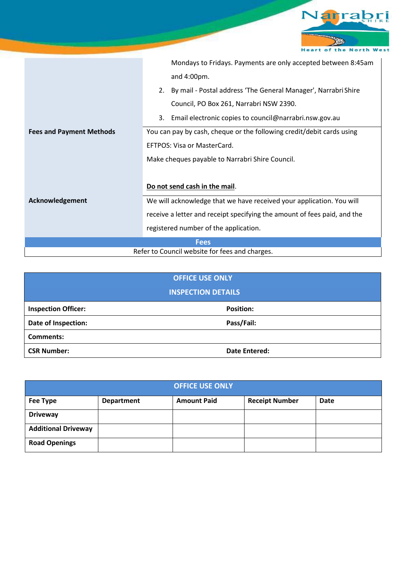

|                                                | Mondays to Fridays. Payments are only accepted between 8:45am            |  |  |  |  |
|------------------------------------------------|--------------------------------------------------------------------------|--|--|--|--|
|                                                | and 4:00pm.                                                              |  |  |  |  |
|                                                | By mail - Postal address 'The General Manager', Narrabri Shire<br>2.     |  |  |  |  |
|                                                | Council, PO Box 261, Narrabri NSW 2390.                                  |  |  |  |  |
|                                                | Email electronic copies to council@narrabri.nsw.gov.au<br>3.             |  |  |  |  |
| <b>Fees and Payment Methods</b>                | You can pay by cash, cheque or the following credit/debit cards using    |  |  |  |  |
|                                                | EFTPOS: Visa or MasterCard.                                              |  |  |  |  |
|                                                | Make cheques payable to Narrabri Shire Council.                          |  |  |  |  |
|                                                |                                                                          |  |  |  |  |
|                                                | Do not send cash in the mail.                                            |  |  |  |  |
| Acknowledgement                                | We will acknowledge that we have received your application. You will     |  |  |  |  |
|                                                | receive a letter and receipt specifying the amount of fees paid, and the |  |  |  |  |
|                                                | registered number of the application.                                    |  |  |  |  |
| <b>Fees</b>                                    |                                                                          |  |  |  |  |
| Refer to Council website for fees and charges. |                                                                          |  |  |  |  |

| <b>OFFICE USE ONLY</b>     |                      |  |  |  |  |  |
|----------------------------|----------------------|--|--|--|--|--|
| <b>INSPECTION DETAILS</b>  |                      |  |  |  |  |  |
| <b>Inspection Officer:</b> | <b>Position:</b>     |  |  |  |  |  |
| Date of Inspection:        | Pass/Fail:           |  |  |  |  |  |
| <b>Comments:</b>           |                      |  |  |  |  |  |
| <b>CSR Number:</b>         | <b>Date Entered:</b> |  |  |  |  |  |

| <b>OFFICE USE ONLY</b>     |                   |                    |                       |      |  |  |  |  |
|----------------------------|-------------------|--------------------|-----------------------|------|--|--|--|--|
| Fee Type                   | <b>Department</b> | <b>Amount Paid</b> | <b>Receipt Number</b> | Date |  |  |  |  |
| <b>Driveway</b>            |                   |                    |                       |      |  |  |  |  |
| <b>Additional Driveway</b> |                   |                    |                       |      |  |  |  |  |
| <b>Road Openings</b>       |                   |                    |                       |      |  |  |  |  |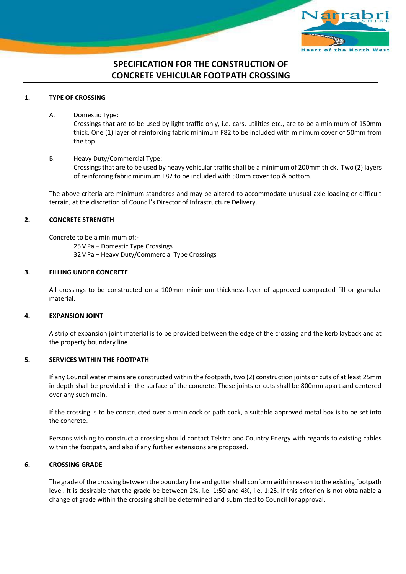

# **SPECIFICATION FOR THE CONSTRUCTION OF CONCRETE VEHICULAR FOOTPATH CROSSING**

# **1. TYPE OF CROSSING**

A. Domestic Type:

Crossings that are to be used by light traffic only, i.e. cars, utilities etc., are to be a minimum of 150mm thick. One (1) layer of reinforcing fabric minimum F82 to be included with minimum cover of 50mm from the top.

# B. Heavy Duty/Commercial Type: Crossings that are to be used by heavy vehicular traffic shall be a minimum of 200mm thick. Two (2) layers of reinforcing fabric minimum F82 to be included with 50mm cover top & bottom.

The above criteria are minimum standards and may be altered to accommodate unusual axle loading or difficult terrain, at the discretion of Council's Director of Infrastructure Delivery.

# **2. CONCRETE STRENGTH**

Concrete to be a minimum of:- 25MPa – Domestic Type Crossings

32MPa – Heavy Duty/Commercial Type Crossings

#### **3. FILLING UNDER CONCRETE**

All crossings to be constructed on a 100mm minimum thickness layer of approved compacted fill or granular material.

# **4. EXPANSION JOINT**

A strip of expansion joint material is to be provided between the edge of the crossing and the kerb layback and at the property boundary line.

# **5. SERVICES WITHIN THE FOOTPATH**

If any Council water mains are constructed within the footpath, two (2) construction joints or cuts of at least 25mm in depth shall be provided in the surface of the concrete. These joints or cuts shall be 800mm apart and centered over any such main.

If the crossing is to be constructed over a main cock or path cock, a suitable approved metal box is to be set into the concrete.

Persons wishing to construct a crossing should contact Telstra and Country Energy with regards to existing cables within the footpath, and also if any further extensions are proposed.

# **6. CROSSING GRADE**

The grade of the crossing between the boundary line and gutter shall conform within reason to the existing footpath level. It is desirable that the grade be between 2%, i.e. 1:50 and 4%, i.e. 1:25. If this criterion is not obtainable a change of grade within the crossing shall be determined and submitted to Council for approval.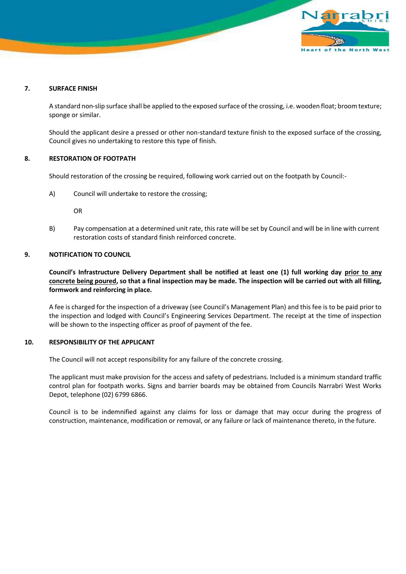

#### **7. SURFACE FINISH**

A standard non-slip surface shall be applied to the exposed surface of the crossing, i.e. wooden float; broom texture; sponge or similar.

Should the applicant desire a pressed or other non-standard texture finish to the exposed surface of the crossing, Council gives no undertaking to restore this type of finish.

#### **8. RESTORATION OF FOOTPATH**

Should restoration of the crossing be required, following work carried out on the footpath by Council:-

A) Council will undertake to restore the crossing;

OR

B) Pay compensation at a determined unit rate, this rate will be set by Council and will be in line with current restoration costs of standard finish reinforced concrete.

#### **9. NOTIFICATION TO COUNCIL**

**Council's Infrastructure Delivery Department shall be notified at least one (1) full working day prior to any concrete being poured, so that a final inspection may be made. The inspection will be carried out with all filling, formwork and reinforcing in place.**

A fee is charged for the inspection of a driveway (see Council's Management Plan) and this fee is to be paid prior to the inspection and lodged with Council's Engineering Services Department. The receipt at the time of inspection will be shown to the inspecting officer as proof of payment of the fee.

#### **10. RESPONSIBILITY OF THE APPLICANT**

The Council will not accept responsibility for any failure of the concrete crossing.

The applicant must make provision for the access and safety of pedestrians. Included is a minimum standard traffic control plan for footpath works. Signs and barrier boards may be obtained from Councils Narrabri West Works Depot, telephone (02) 6799 6866.

Council is to be indemnified against any claims for loss or damage that may occur during the progress of construction, maintenance, modification or removal, or any failure or lack of maintenance thereto, in the future.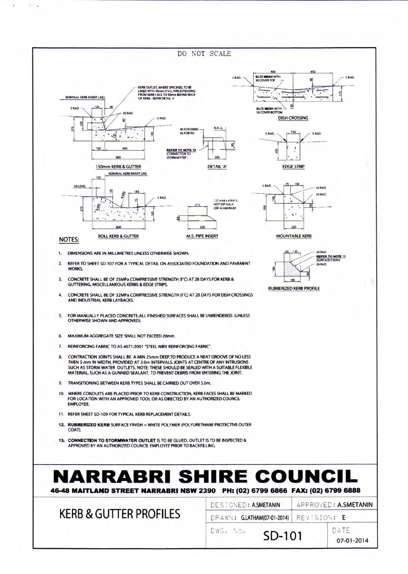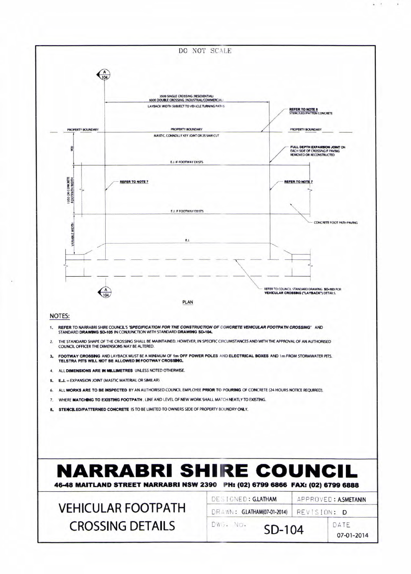

 $\bullet$  .  $\bullet$